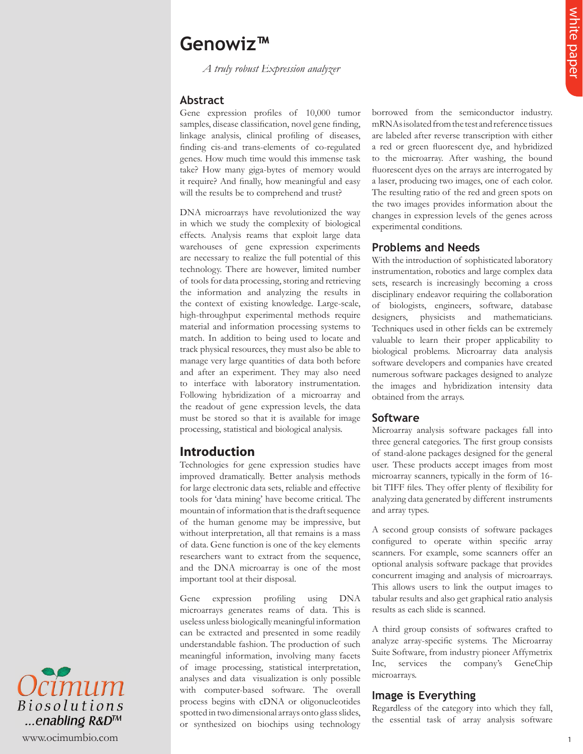# **Genowiz™**

 *A truly robust Expression analyzer* 

#### **Abstract**

Gene expression profiles of  $10,000$  tumor samples, disease classification, novel gene finding, linkage analysis, clinical profiling of diseases, finding cis-and trans-elements of co-regulated genes. How much time would this immense task take? How many giga-bytes of memory would it require? And finally, how meaningful and easy will the results be to comprehend and trust?

**Genowize**  $\frac{2}{3}$ <br>  $\frac{2}{3}$ <br>  $\frac{2}{3}$ <br>  $\frac{2}{3}$ <br>  $\frac{2}{3}$ <br>  $\frac{2}{3}$ <br>
Abstract and policing a statistical and the main terms of the main terms of the main terms of the main terms of the main terms of the main terms DNA microarrays have revolutionized the way in which we study the complexity of biological effects. Analysis reams that exploit large data warehouses of gene expression experiments are necessary to realize the full potential of this technology. There are however, limited number of tools for data processing, storing and retrieving the information and analyzing the results in the context of existing knowledge. Large-scale, high-throughput experimental methods require material and information processing systems to match. In addition to being used to locate and track physical resources, they must also be able to manage very large quantities of data both before and after an experiment. They may also need to interface with laboratory instrumentation. Following hybridization of a microarray and the readout of gene expression levels, the data must be stored so that it is available for image processing, statistical and biological analysis.

# **Introduction**

Technologies for gene expression studies have improved dramatically. Better analysis methods for large electronic data sets, reliable and effective tools for 'data mining' have become critical. The mountain of information that is the draft sequence of the human genome may be impressive, but without interpretation, all that remains is a mass of data. Gene function is one of the key elements researchers want to extract from the sequence, and the DNA microarray is one of the most important tool at their disposal.

Gene expression profiling using DNA microarrays generates reams of data. This is useless unless biologically meaningful information can be extracted and presented in some readily understandable fashion. The production of such meaningful information, involving many facets of image processing, statistical interpretation, analyses and data visualization is only possible with computer-based software. The overall process begins with cDNA or oligonucleotides spotted in two dimensional arrays onto glass slides, or synthesized on biochips using technology

borrowed from the semiconductor industry. mRNAs isolated from the test and reference tissues are labeled after reverse transcription with either a red or green fluorescent dye, and hybridized to the microarray. After washing, the bound fluorescent dyes on the arrays are interrogated by a laser, producing two images, one of each color. The resulting ratio of the red and green spots on the two images provides information about the changes in expression levels of the genes across experimental conditions.

### **Problems and Needs**

With the introduction of sophisticated laboratory instrumentation, robotics and large complex data sets, research is increasingly becoming a cross disciplinary endeavor requiring the collaboration of biologists, engineers, software, database designers, physicists and mathematicians. Techniques used in other fields can be extremely valuable to learn their proper applicability to biological problems. Microarray data analysis software developers and companies have created numerous software packages designed to analyze the images and hybridization intensity data obtained from the arrays.

#### **Software**

Microarray analysis software packages fall into three general categories. The first group consists of stand-alone packages designed for the general user. These products accept images from most microarray scanners, typically in the form of 16 bit TIFF files. They offer plenty of flexibility for analyzing data generated by different instruments and array types.

A second group consists of software packages configured to operate within specific array scanners. For example, some scanners offer an optional analysis software package that provides concurrent imaging and analysis of microarrays. This allows users to link the output images to tabular results and also get graphical ratio analysis results as each slide is scanned.

A third group consists of softwares crafted to analyze array-specific systems. The Microarray Suite Software, from industry pioneer Affymetrix Inc, services the company's GeneChip microarrays.

## **Image is Everything**

Regardless of the category into which they fall, the essential task of array analysis software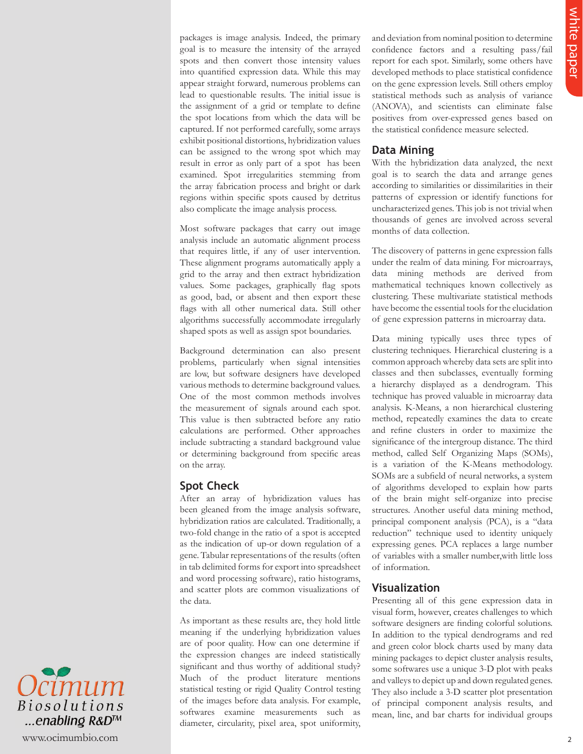packages is image analysis. Indeed, the primary goal is to measure the intensity of the arrayed spots and then convert those intensity values into quantified expression data. While this may appear straight forward, numerous problems can lead to questionable results. The initial issue is the assignment of a grid or template to define the spot locations from which the data will be captured. If not performed carefully, some arrays exhibit positional distortions, hybridization values can be assigned to the wrong spot which may result in error as only part of a spot has been examined. Spot irregularities stemming from the array fabrication process and bright or dark regions within specific spots caused by detritus also complicate the image analysis process.

Most software packages that carry out image analysis include an automatic alignment process that requires little, if any of user intervention. These alignment programs automatically apply a grid to the array and then extract hybridization values. Some packages, graphically flag spots as good, bad, or absent and then export these flags with all other numerical data. Still other algorithms successfully accommodate irregularly shaped spots as well as assign spot boundaries.

Background determination can also present problems, particularly when signal intensities are low, but software designers have developed various methods to determine background values. One of the most common methods involves the measurement of signals around each spot. This value is then subtracted before any ratio calculations are performed. Other approaches include subtracting a standard background value or determining background from specific areas on the array.

### **Spot Check**

After an array of hybridization values has been gleaned from the image analysis software, hybridization ratios are calculated. Traditionally, a two-fold change in the ratio of a spot is accepted as the indication of up-or down regulation of a gene. Tabular representations of the results (often in tab delimited forms for export into spreadsheet and word processing software), ratio histograms, and scatter plots are common visualizations of the data.

As important as these results are, they hold little meaning if the underlying hybridization values are of poor quality. How can one determine if the expression changes are indeed statistically significant and thus worthy of additional study? Much of the product literature mentions statistical testing or rigid Quality Control testing of the images before data analysis. For example, softwares examine measurements such as diameter, circularity, pixel area, spot uniformity,

and deviation from nominal position to determine confidence factors and a resulting pass/fail report for each spot. Similarly, some others have developed methods to place statistical confidence on the gene expression levels. Still others employ statistical methods such as analysis of variance (ANOVA), and scientists can eliminate false positives from over-expressed genes based on the statistical confidence measure selected.

## **Data Mining**

With the hybridization data analyzed, the next goal is to search the data and arrange genes according to similarities or dissimilarities in their patterns of expression or identify functions for uncharacterized genes. This job is not trivial when thousands of genes are involved across several months of data collection.

The discovery of patterns in gene expression falls under the realm of data mining. For microarrays, data mining methods are derived from mathematical techniques known collectively as clustering. These multivariate statistical methods have become the essential tools for the elucidation of gene expression patterns in microarray data.

probability is the paper of the control of exactle and the state of the control of the state of the control of the control of the state of the control of the control of the state of the control of the control of the contr Data mining typically uses three types of clustering techniques. Hierarchical clustering is a common approach whereby data sets are split into classes and then subclasses, eventually forming a hierarchy displayed as a dendrogram. This technique has proved valuable in microarray data analysis. K-Means, a non hierarchical clustering method, repeatedly examines the data to create and refine clusters in order to maximize the significance of the intergroup distance. The third method, called Self Organizing Maps (SOMs), is a variation of the K-Means methodology. SOMs are a subfield of neural networks, a system of algorithms developed to explain how parts of the brain might self-organize into precise structures. Another useful data mining method, principal component analysis (PCA), is a "data reduction" technique used to identity uniquely expressing genes. PCA replaces a large number of variables with a smaller number,with little loss of information.

## **Visualization**

Presenting all of this gene expression data in visual form, however, creates challenges to which software designers are finding colorful solutions. In addition to the typical dendrograms and red and green color block charts used by many data mining packages to depict cluster analysis results, some softwares use a unique 3-D plot with peaks and valleys to depict up and down regulated genes. They also include a 3-D scatter plot presentation of principal component analysis results, and mean, line, and bar charts for individual groups

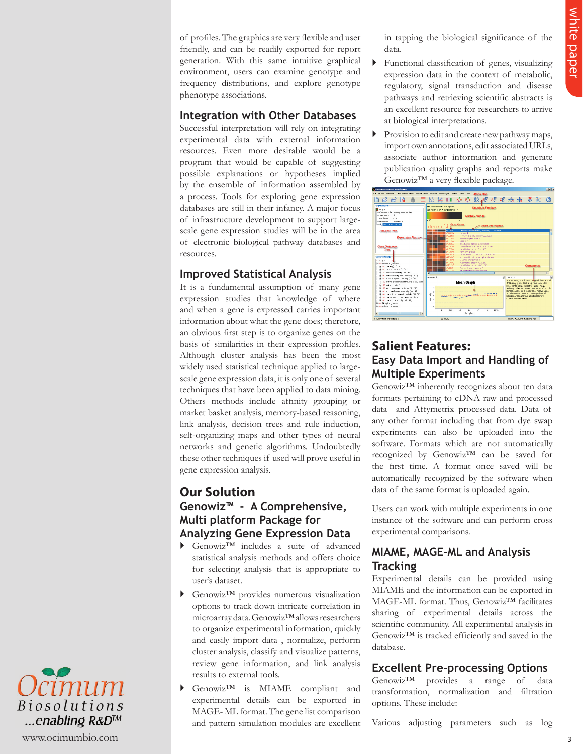of profiles. The graphics are very flexible and user friendly, and can be readily exported for report generation. With this same intuitive graphical environment, users can examine genotype and frequency distributions, and explore genotype phenotype associations.

#### **Integration with Other Databases**

Successful interpretation will rely on integrating experimental data with external information resources. Even more desirable would be a program that would be capable of suggesting possible explanations or hypotheses implied by the ensemble of information assembled by a process. Tools for exploring gene expression databases are still in their infancy. A major focus of infrastructure development to support largescale gene expression studies will be in the area of electronic biological pathway databases and resources.

## **Improved Statistical Analysis**

of paper is the paper solution of the continuous continuous continuous continuous continuous continuous continuous continuous continuous continuous continuous continuous continuous continuous continuous continuous continu It is a fundamental assumption of many gene expression studies that knowledge of where and when a gene is expressed carries important information about what the gene does; therefore, an obvious first step is to organize genes on the basis of similarities in their expression profiles. Although cluster analysis has been the most widely used statistical technique applied to largescale gene expression data, it is only one of several techniques that have been applied to data mining. Others methods include affinity grouping or market basket analysis, memory-based reasoning, link analysis, decision trees and rule induction, self-organizing maps and other types of neural networks and genetic algorithms. Undoubtedly these other techniques if used will prove useful in gene expression analysis.

# **Our Solution Genowiz™ - A Comprehensive, Multi platform Package for Analyzing Gene Expression Data**

- Genowiz™ includes a suite of advanced statistical analysis methods and offers choice for selecting analysis that is appropriate to user's dataset.
- Genowiz™ provides numerous visualization options to track down intricate correlation in microarray data. Genowiz™ allows researchers to organize experimental information, quickly and easily import data , normalize, perform cluster analysis, classify and visualize patterns, review gene information, and link analysis results to external tools.
- Genowiz™ is MIAME compliant and experimental details can be exported in MAGE- ML format. The gene list comparison and pattern simulation modules are excellent

in tapping the biological significance of the data.

- $\blacktriangleright$  Functional classification of genes, visualizing expression data in the context of metabolic, regulatory, signal transduction and disease pathways and retrieving scientific abstracts is an excellent resource for researchers to arrive at biological interpretations.
- Provision to edit and create new pathway maps, import own annotations, edit associated URLs, associate author information and generate publication quality graphs and reports make Genowiz™ a very flexible package.



# **Salient Features: Easy Data Import and Handling of Multiple Experiments**

Genowiz™ inherently recognizes about ten data formats pertaining to cDNA raw and processed data and Affymetrix processed data. Data of any other format including that from dye swap experiments can also be uploaded into the software. Formats which are not automatically recognized by Genowiz™ can be saved for the first time. A format once saved will be automatically recognized by the software when data of the same format is uploaded again.

Users can work with multiple experiments in one instance of the software and can perform cross experimental comparisons.

## **MIAME, MAGE-ML and Analysis Tracking**

Experimental details can be provided using MIAME and the information can be exported in MAGE-ML format. Thus, Genowiz™ facilitates sharing of experimental details across the scientific community. All experimental analysis in Genowiz<sup>™</sup> is tracked efficiently and saved in the database.

## **Excellent Pre-processing Options**

Genowiz™ provides a range of data transformation, normalization and filtration options. These include:

Various adjusting parameters such as log

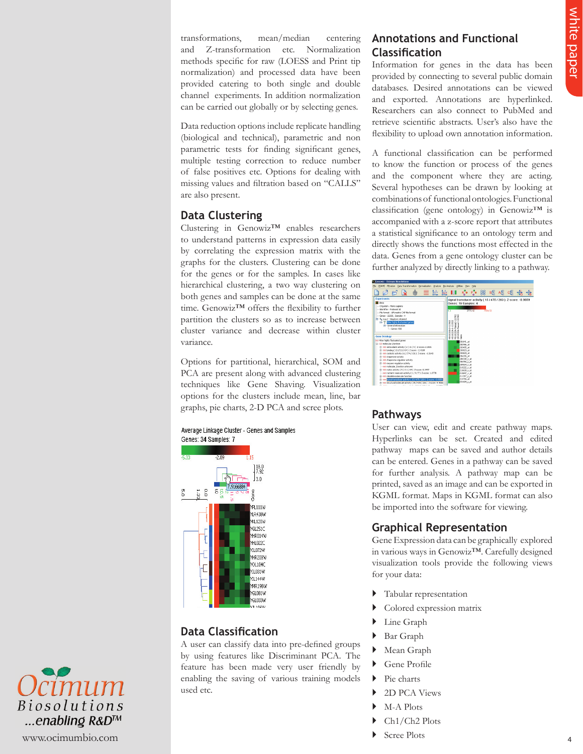transformations, mean/median centering and Z-transformation etc. Normalization methods specific for raw (LOESS and Print tip normalization) and processed data have been provided catering to both single and double channel experiments. In addition normalization can be carried out globally or by selecting genes.

Data reduction options include replicate handling (biological and technical), parametric and non parametric tests for finding significant genes, multiple testing correction to reduce number of false positives etc. Options for dealing with missing values and filtration based on "CALLS" are also present.

## **Data Clustering**

Clustering in Genowiz™ enables researchers to understand patterns in expression data easily by correlating the expression matrix with the graphs for the clusters. Clustering can be done for the genes or for the samples. In cases like hierarchical clustering, a two way clustering on both genes and samples can be done at the same time. Genowiz™ offers the flexibility to further partition the clusters so as to increase between cluster variance and decrease within cluster variance.

Options for partitional, hierarchical, SOM and PCA are present along with advanced clustering techniques like Gene Shaving. Visualization options for the clusters include mean, line, bar graphs, pie charts, 2-D PCA and scree plots.



## **Data Classification**

A user can classify data into pre-defined groups by using features like Discriminant PCA. The feature has been made very user friendly by enabling the saving of various training models used etc.

# **Annotations and Functional Classifi cation**

Information for genes in the data has been provided by connecting to several public domain databases. Desired annotations can be viewed and exported. Annotations are hyperlinked. Researchers can also connect to PubMed and retrieve scientific abstracts. User's also have the flexibility to upload own annotation information.

which paper a control of the control of the control of the control of the control of the control of the control of the control of the control of the control of the control of the control of the control of the control of t A functional classification can be performed to know the function or process of the genes and the component where they are acting. Several hypotheses can be drawn by looking at combinations of functional ontologies. Functional classification (gene ontology) in Genowiz<sup>™</sup> is accompanied with a z-score report that attributes a statistical significance to an ontology term and directly shows the functions most effected in the data. Genes from a gene ontology cluster can be further analyzed by directly linking to a pathway.



## **Pathways**

User can view, edit and create pathway maps. Hyperlinks can be set. Created and edited pathway maps can be saved and author details can be entered. Genes in a pathway can be saved for further analysis. A pathway map can be printed, saved as an image and can be exported in KGML format. Maps in KGML format can also be imported into the software for viewing.

# **Graphical Representation**

Gene Expression data can be graphically explored in various ways in Genowiz™. Carefully designed visualization tools provide the following views for your data:

- Tabular representation
- Colored expression matrix
- Line Graph
- Bar Graph
- Mean Graph
- Gene Profile
- Pie charts
- 2D PCA Views
- M-A Plots
- Ch1/Ch2 Plots
- Scree Plots